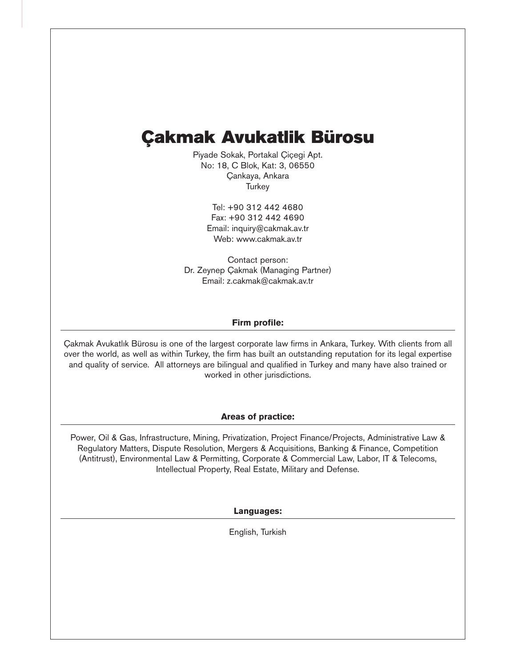## **Çakmak Avukatlik Bürosu**

Piyade Sokak, Portakal Çiçegi Apt. No: 18, C Blok, Kat: 3, 06550 Çankaya, Ankara **Turkey** 

> Tel: +90 312 442 4680 Fax: +90 312 442 4690 Email: inquiry@cakmak.av.tr Web: www.cakmak.av.tr

Contact person: Dr. Zeynep Çakmak (Managing Partner) Email: z.cakmak@cakmak.av.tr

#### **Firm profile:**

Çakmak Avukatlık Bürosu is one of the largest corporate law firms in Ankara, Turkey. With clients from all over the world, as well as within Turkey, the firm has built an outstanding reputation for its legal expertise and quality of service. All attorneys are bilingual and qualified in Turkey and many have also trained or worked in other jurisdictions.

#### **Areas of practice:**

Power, Oil & Gas, Infrastructure, Mining, Privatization, Project Finance/Projects, Administrative Law & Regulatory Matters, Dispute Resolution, Mergers & Acquisitions, Banking & Finance, Competition (Antitrust), Environmental Law & Permitting, Corporate & Commercial Law, Labor, IT & Telecoms, Intellectual Property, Real Estate, Military and Defense.

#### **Languages:**

English, Turkish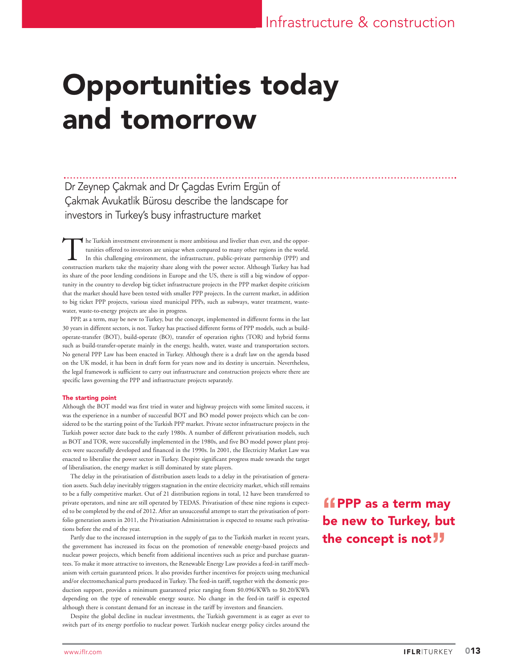# Opportunities today and tomorrow

Dr Zeynep Çakmak and Dr Çagdas Evrim Ergün of Çakmak Avukatlik Bürosu describe the landscape for investors in Turkey's busy infrastructure market

The Turkish investment environment is more ambitious and livelier than ever, and the opportunities offered to investors are unique when compared to many other regions in the world.<br>In this challenging environment, the infr tunities offered to investors are unique when compared to many other regions in the world. In this challenging environment, the infrastructure, public-private partnership (PPP) and construction markets take the majority share along with the power sector. Although Turkey has had its share of the poor lending conditions in Europe and the US, there is still a big window of opportunity in the country to develop big ticket infrastructure projects in the PPP market despite criticism that the market should have been tested with smaller PPP projects. In the current market, in addition to big ticket PPP projects, various sized municipal PPPs, such as subways, water treatment, wastewater, waste-to-energy projects are also in progress.

PPP, as a term, may be new to Turkey, but the concept, implemented in different forms in the last 30 years in different sectors, is not. Turkey has practised different forms of PPP models, such as buildoperate-transfer (BOT), build-operate (BO), transfer of operation rights (TOR) and hybrid forms such as build-transfer-operate mainly in the energy, health, water, waste and transportation sectors. No general PPP Law has been enacted in Turkey. Although there is a draft law on the agenda based on the UK model, it has been in draft form for years now and its destiny is uncertain. Nevertheless, the legal framework is sufficient to carry out infrastructure and construction projects where there are specific laws governing the PPP and infrastructure projects separately.

#### The starting point

Although the BOT model was first tried in water and highway projects with some limited success, it was the experience in a number of successful BOT and BO model power projects which can be considered to be the starting point of the Turkish PPP market. Private sector infrastructure projects in the Turkish power sector date back to the early 1980s. A number of different privatisation models, such as BOT and TOR, were successfully implemented in the 1980s, and five BO model power plant projects were successfully developed and financed in the 1990s. In 2001, the Electricity Market Law was enacted to liberalise the power sector in Turkey. Despite significant progress made towards the target of liberalisation, the energy market is still dominated by state players.

The delay in the privatisation of distribution assets leads to a delay in the privatisation of generation assets. Such delay inevitably triggers stagnation in the entire electricity market, which still remains to be a fully competitive market. Out of 21 distribution regions in total, 12 have been transferred to private operators, and nine are still operated by TEDAS. Privatisation of these nine regions is expected to be completed by the end of 2012. After an unsuccessful attempt to start the privatisation of portfolio generation assets in 2011, the Privatisation Administration is expected to resume such privatisations before the end of the year.

Partly due to the increased interruption in the supply of gas to the Turkish market in recent years, the government has increased its focus on the promotion of renewable energy-based projects and nuclear power projects, which benefit from additional incentives such as price and purchase guarantees. To make it more attractive to investors, the Renewable Energy Law provides a feed-in tariff mechanism with certain guaranteed prices. It also provides further incentives for projects using mechanical and/or electromechanical parts produced in Turkey. The feed-in tariff, together with the domestic production support, provides a minimum guaranteed price ranging from \$0.096/KWh to \$0.20/KWh depending on the type of renewable energy source. No change in the feed-in tariff is expected although there is constant demand for an increase in the tariff by investors and financiers.

Despite the global decline in nuclear investments, the Turkish government is as eager as ever to switch part of its energy portfolio to nuclear power. Turkish nuclear energy policy circles around the

**"f** PPP as a term may be new to Turkey, but the concept is not<sup>11</sup>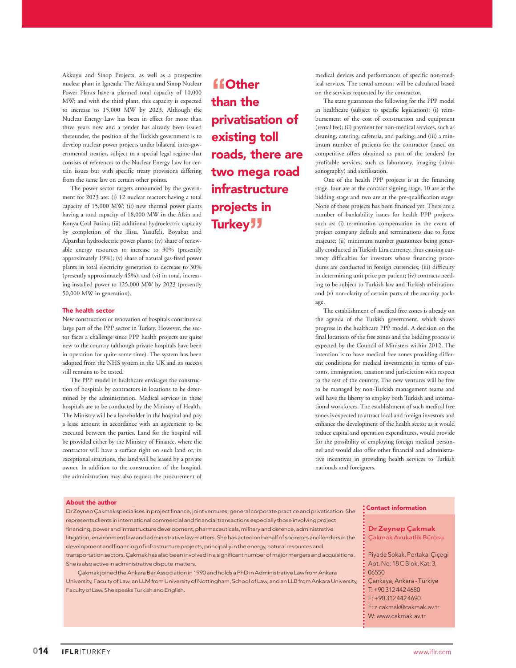Akkuyu and Sinop Projects, as well as a prospective nuclear plant in Igneada. The Akkuyu and Sinop Nuclear Power Plants have a planned total capacity of 10,000 MW; and with the third plant, this capacity is expected to increase to 15,000 MW by 2023. Although the Nuclear Energy Law has been in effect for more than three years now and a tender has already been issued thereunder, the position of the Turkish government is to develop nuclear power projects under bilateral inter-governmental treaties, subject to a special legal regime that consists of references to the Nuclear Energy Law for certain issues but with specific treaty provisions differing from the same law on certain other points.

The power sector targets announced by the government for 2023 are: (i) 12 nuclear reactors having a total capacity of 15,000 MW; (ii) new thermal power plants having a total capacity of 18,000 MW in the Afsin and Konya Coal Basins; (iii) additional hydroelectric capacity by completion of the Ilisu, Yusufeli, Boyabat and Alparslan hydroelectric power plants; (iv) share of renewable energy resources to increase to 30% (presently approximately 19%); (v) share of natural gas-fired power plants in total electricity generation to decrease to 30% (presently approximately 45%); and (vi) in total, increasing installed power to 125,000 MW by 2023 (presently 50,000 MW in generation).

#### The health sector

New construction or renovation of hospitals constitutes a large part of the PPP sector in Turkey. However, the sector faces a challenge since PPP health projects are quite new to the country (although private hospitals have been in operation for quite some time). The system has been adopted from the NHS system in the UK and its success still remains to be tested.

The PPP model in healthcare envisages the construction of hospitals by contractors in locations to be determined by the administration. Medical services in these hospitals are to be conducted by the Ministry of Health. The Ministry will be a leaseholder in the hospital and pay a lease amount in accordance with an agreement to be executed between the parties. Land for the hospital will be provided either by the Ministry of Finance, where the contractor will have a surface right on such land or, in exceptional situations, the land will be leased by a private owner. In addition to the construction of the hospital, the administration may also request the procurement of

**"**Other than the privatisation of existing toll roads, there are two mega road infrastructure projects in Turkey<sup>1</sup>

medical devices and performances of specific non-medical services. The rental amount will be calculated based on the services requested by the contractor.

The state guarantees the following for the PPP model in healthcare (subject to specific legislation): (i) reimbursement of the cost of construction and equipment (rental fee); (ii) payment for non-medical services, such as cleaning, catering, cafeteria, and parking; and (iii) a minimum number of patients for the contractor (based on competitive offers obtained as part of the tenders) for profitable services, such as laboratory, imaging (ultrasonography) and sterilisation.

One of the health PPP projects is at the financing stage, four are at the contract signing stage, 10 are at the bidding stage and two are at the pre-qualification stage. None of these projects has been financed yet. There are a number of bankability issues for health PPP projects, such as: (i) termination compensation in the event of project company default and terminations due to force majeure; (ii) minimum number guarantees being generally conducted in Turkish Lira currency, thus causing currency difficulties for investors whose financing procedures are conducted in foreign currencies; (iii) difficulty in determining unit price per patient; (iv) contracts needing to be subject to Turkish law and Turkish arbitration; and (v) non-clarity of certain parts of the security package.

The establishment of medical free zones is already on the agenda of the Turkish government, which shows progress in the healthcare PPP model. A decision on the final locations of the free zones and the bidding process is expected by the Council of Ministers within 2012. The intention is to have medical free zones providing different conditions for medical investments in terms of customs, immigration, taxation and jurisdiction with respect to the rest of the country. The new ventures will be free to be managed by non-Turkish management teams and will have the liberty to employ both Turkish and international workforces. The establishment of such medical free zones is expected to attract local and foreign investors and enhance the development of the health sector as it would reduce capital and operation expenditures, would provide for the possibility of employing foreign medical personnel and would also offer other financial and administrative incentives in providing health services to Turkish nationals and foreigners.

#### About the author

Dr Zeynep Çakmak specialises in project finance, joint ventures, general corporate practice and privatisation. She represents clients in international commercial and financial transactions especially those involving project financing, power and infrastructure development, pharmaceuticals, military and defence, administrative litigation, environment law and administrative law matters. She has acted on behalf of sponsors and lenders in the development and financing of infrastructure projects, principally in the energy, natural resources and transportation sectors. Çakmak has also been involved in a significant number of major mergers and acquisitions. She is also active in administrative dispute matters.

Çakmak joined the Ankara Bar Association in 1990 and holds a PhD in Administrative Law from Ankara University, Faculty of Law, an LLM from University of Nottingham, School of Law, and an LLB from Ankara University, Faculty of Law. She speaks Turkish and English.

#### Contact information

#### Dr Zeynep Çakmak

- Çakmak Avukatlik Bürosu
- Piyade Sokak, Portakal Çiçegi Apt. No: 18 C Blok, Kat: 3, 06550
- Çankaya, Ankara Türkiye
- T: +90 312 442 4680
- F: +90 312 442 4690
- E: z.cakmak@cakmak.av.tr
- W: www.cakmak.av.tr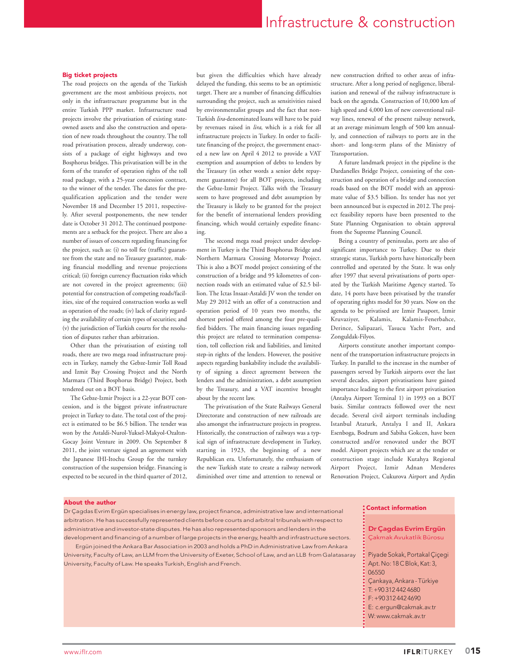### Infrastructure & construction

#### Big ticket projects

The road projects on the agenda of the Turkish government are the most ambitious projects, not only in the infrastructure programme but in the entire Turkish PPP market. Infrastructure road projects involve the privatisation of existing stateowned assets and also the construction and operation of new roads throughout the country. The toll road privatisation process, already underway, consists of a package of eight highways and two Bosphorus bridges. This privatisation will be in the form of the transfer of operation rights of the toll road package, with a 25-year concession contract, to the winner of the tender. The dates for the prequalification application and the tender were November 18 and December 15 2011, respectively. After several postponements, the new tender date is October 31 2012. The continued postponements are a setback for the project. There are also a number of issues of concern regarding financing for the project, such as: (i) no toll fee (traffic) guarantee from the state and no Treasury guarantee, making financial modelling and revenue projections critical; (ii) foreign currency fluctuation risks which are not covered in the project agreements; (iii) potential for construction of competing roads/facilities, size of the required construction works as well as operation of the roads; (iv) lack of clarity regarding the availability of certain types of securities; and (v) the jurisdiction of Turkish courts for the resolution of disputes rather than arbitration.

Other than the privatisation of existing toll roads, there are two mega road infrastructure projects in Turkey, namely the Gebze-Izmir Toll Road and Izmit Bay Crossing Project and the North Marmara (Third Bosphorus Bridge) Project, both tendered out on a BOT basis.

The Gebze-Izmir Project is a 22-year BOT concession, and is the biggest private infrastructure project in Turkey to date. The total cost of the project is estimated to be \$6.5 billion. The tender was won by the Astaldi-Nurol-Yuksel-Makyol-Ozaltın-Gocay Joint Venture in 2009. On September 8 2011, the joint venture signed an agreement with the Japanese IHI-Itochu Group for the turnkey construction of the suspension bridge. Financing is expected to be secured in the third quarter of 2012,

but given the difficulties which have already delayed the funding, this seems to be an optimistic target. There are a number of financing difficulties surrounding the project, such as sensitivities raised by environmentalist groups and the fact that non-Turkish *lira*-denominated loans will have to be paid by revenues raised in *lira*, which is a risk for all infrastructure projects in Turkey. In order to facilitate financing of the project, the government enacted a new law on April 4 2012 to provide a VAT exemption and assumption of debts to lenders by the Treasury (in other words a senior debt repayment guarantee) for all BOT projects, including the Gebze-Izmir Project. Talks with the Treasury seem to have progressed and debt assumption by the Treasury is likely to be granted for the project for the benefit of international lenders providing financing, which would certainly expedite financing.

The second mega road project under development in Turkey is the Third Bosphorus Bridge and Northern Marmara Crossing Motorway Project. This is also a BOT model project consisting of the construction of a bridge and 95 kilometres of connection roads with an estimated value of \$2.5 billion. The Ictas Insaat-Astaldi JV won the tender on May 29 2012 with an offer of a construction and operation period of 10 years two months, the shortest period offered among the four pre-qualified bidders. The main financing issues regarding this project are related to termination compensation, toll collection risk and liabilities, and limited step-in rights of the lenders. However, the positive aspects regarding bankability include the availability of signing a direct agreement between the lenders and the administration, a debt assumption by the Treasury, and a VAT incentive brought about by the recent law.

The privatisation of the State Railways General Directorate and construction of new railroads are also amongst the infrastructure projects in progress. Historically, the construction of railways was a typical sign of infrastructure development in Turkey, starting in 1923, the beginning of a new Republican era. Unfortunately, the enthusiasm of the new Turkish state to create a railway network diminished over time and attention to renewal or

new construction drifted to other areas of infrastructure. After a long period of negligence, liberalisation and renewal of the railway infrastructure is back on the agenda. Construction of 10,000 km of high speed and 4,000 km of new conventional railway lines, renewal of the present railway network, at an average minimum length of 500 km annually, and connection of railways to ports are in the short- and long-term plans of the Ministry of Transportation.

A future landmark project in the pipeline is the Dardanelles Bridge Project, consisting of the construction and operation of a bridge and connection roads based on the BOT model with an approximate value of \$3.5 billion. Its tender has not yet been announced but is expected in 2012. The project feasibility reports have been presented to the State Planning Organisation to obtain approval from the Supreme Planning Council.

Being a country of peninsulas, ports are also of significant importance to Turkey. Due to their strategic status, Turkish ports have historically been controlled and operated by the State. It was only after 1997 that several privatisations of ports operated by the Turkish Maritime Agency started. To date, 14 ports have been privatised by the transfer of operating rights model for 30 years. Now on the agenda to be privatised are Izmir Pasaport, Izmir Kruvaziyer, Kalamis, Kalamis-Fenerbahce, Derince, Salipazari, Tasucu Yacht Port, and Zonguldak-Filyos.

Airports constitute another important component of the transportation infrastructure projects in Turkey. In parallel to the increase in the number of passengers served by Turkish airports over the last several decades, airport privatisations have gained importance leading to the first airport privatisation (Antalya Airport Terminal 1) in 1993 on a BOT basis. Similar contracts followed over the next decade. Several civil airport terminals including Istanbul Ataturk, Antalya I and II, Ankara Esenboga, Bodrum and Sabiha Gokcen, have been constructed and/or renovated under the BOT model. Airport projects which are at the tender or construction stage include Kutahya Regional Airport Project, Izmir Adnan Menderes Renovation Project, Cukurova Airport and Aydin

#### About the author

Dr Çagdas Evrim Ergün specialises in energy law, project finance, administrative law and international arbitration. He has successfully represented clients before courts and arbitral tribunals with respect to administrative and investor-state disputes. He has also represented sponsors and lenders in the development and financing of a number of large projects in the energy, health and infrastructure sectors.

Ergün joined the Ankara Bar Association in 2003 and holds a PhD in Administrative Law from Ankara University, Faculty of Law, an LLM from the University of Exeter, School of Law, and an LLB from Galatasaray University, Faculty of Law. He speaks Turkish, English and French.

#### Contact information

- Dr Çagdas Evrim Ergün
- Çakmak Avukatlik Bürosu
- Piyade Sokak, Portakal Çiçegi Apt. No: 18 C Blok, Kat: 3, 06550
- 
- Çankaya, Ankara Türkiye
- T: +90 312 442 4680
- F: +90 312 442 4690
- E: c.ergun@cakmak.av.tr
- W: www.cakmak.av.tr